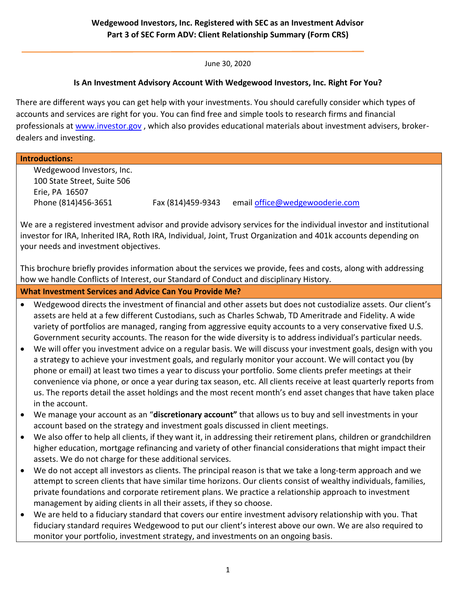June 30, 2020

### **Is An Investment Advisory Account With Wedgewood Investors, Inc. Right For You?**

There are different ways you can get help with your investments. You should carefully consider which types of accounts and services are right for you. You can find free and simple tools to research firms and financial professionals at [www.investor.gov](http://www.investor.gov/), which also provides educational materials about investment advisers, brokerdealers and investing.

| <b>Introductions:</b>                                                                                              |                                                                                                                                                                                                                                                                                                                                                                                                                                                            |                   |                                |
|--------------------------------------------------------------------------------------------------------------------|------------------------------------------------------------------------------------------------------------------------------------------------------------------------------------------------------------------------------------------------------------------------------------------------------------------------------------------------------------------------------------------------------------------------------------------------------------|-------------------|--------------------------------|
| Wedgewood Investors, Inc.                                                                                          |                                                                                                                                                                                                                                                                                                                                                                                                                                                            |                   |                                |
| 100 State Street, Suite 506                                                                                        |                                                                                                                                                                                                                                                                                                                                                                                                                                                            |                   |                                |
| Erie, PA 16507                                                                                                     |                                                                                                                                                                                                                                                                                                                                                                                                                                                            |                   |                                |
|                                                                                                                    | Phone (814)456-3651                                                                                                                                                                                                                                                                                                                                                                                                                                        | Fax (814)459-9343 | email office@wedgewooderie.com |
|                                                                                                                    |                                                                                                                                                                                                                                                                                                                                                                                                                                                            |                   |                                |
| We are a registered investment advisor and provide advisory services for the individual investor and institutional |                                                                                                                                                                                                                                                                                                                                                                                                                                                            |                   |                                |
| investor for IRA, Inherited IRA, Roth IRA, Individual, Joint, Trust Organization and 401k accounts depending on    |                                                                                                                                                                                                                                                                                                                                                                                                                                                            |                   |                                |
| your needs and investment objectives.                                                                              |                                                                                                                                                                                                                                                                                                                                                                                                                                                            |                   |                                |
|                                                                                                                    |                                                                                                                                                                                                                                                                                                                                                                                                                                                            |                   |                                |
| This brochure briefly provides information about the services we provide, fees and costs, along with addressing    |                                                                                                                                                                                                                                                                                                                                                                                                                                                            |                   |                                |
| how we handle Conflicts of Interest, our Standard of Conduct and disciplinary History.                             |                                                                                                                                                                                                                                                                                                                                                                                                                                                            |                   |                                |
| <b>What Investment Services and Advice Can You Provide Me?</b>                                                     |                                                                                                                                                                                                                                                                                                                                                                                                                                                            |                   |                                |
| $\bullet$                                                                                                          | Wedgewood directs the investment of financial and other assets but does not custodialize assets. Our client's<br>assets are held at a few different Custodians, such as Charles Schwab, TD Ameritrade and Fidelity. A wide<br>variety of portfolios are managed, ranging from aggressive equity accounts to a very conservative fixed U.S.<br>Government security accounts. The reason for the wide diversity is to address individual's particular needs. |                   |                                |
|                                                                                                                    |                                                                                                                                                                                                                                                                                                                                                                                                                                                            |                   |                                |
|                                                                                                                    |                                                                                                                                                                                                                                                                                                                                                                                                                                                            |                   |                                |
|                                                                                                                    |                                                                                                                                                                                                                                                                                                                                                                                                                                                            |                   |                                |
| $\bullet$                                                                                                          | We will offer you investment advice on a regular basis. We will discuss your investment goals, design with you                                                                                                                                                                                                                                                                                                                                             |                   |                                |
|                                                                                                                    | a strategy to achieve your investment goals, and regularly monitor your account. We will contact you (by<br>phone or email) at least two times a year to discuss your portfolio. Some clients prefer meetings at their                                                                                                                                                                                                                                     |                   |                                |
|                                                                                                                    | convenience via phone, or once a year during tax season, etc. All clients receive at least quarterly reports from                                                                                                                                                                                                                                                                                                                                          |                   |                                |
|                                                                                                                    | us. The reports detail the asset holdings and the most recent month's end asset changes that have taken place                                                                                                                                                                                                                                                                                                                                              |                   |                                |
|                                                                                                                    | in the account.                                                                                                                                                                                                                                                                                                                                                                                                                                            |                   |                                |
| $\bullet$                                                                                                          | We manage your account as an "discretionary account" that allows us to buy and sell investments in your                                                                                                                                                                                                                                                                                                                                                    |                   |                                |
|                                                                                                                    | account based on the strategy and investment goals discussed in client meetings.                                                                                                                                                                                                                                                                                                                                                                           |                   |                                |
| $\bullet$                                                                                                          | We also offer to help all clients, if they want it, in addressing their retirement plans, children or grandchildren                                                                                                                                                                                                                                                                                                                                        |                   |                                |
|                                                                                                                    | higher education, mortgage refinancing and variety of other financial considerations that might impact their                                                                                                                                                                                                                                                                                                                                               |                   |                                |
|                                                                                                                    | assets. We do not charge for these additional services.                                                                                                                                                                                                                                                                                                                                                                                                    |                   |                                |
| $\bullet$                                                                                                          | We do not accept all investors as clients. The principal reason is that we take a long-term approach and we                                                                                                                                                                                                                                                                                                                                                |                   |                                |
|                                                                                                                    | attempt to screen clients that have similar time horizons. Our clients consist of wealthy individuals, families,                                                                                                                                                                                                                                                                                                                                           |                   |                                |
|                                                                                                                    | private foundations and corporate retirement plans. We practice a relationship approach to investment                                                                                                                                                                                                                                                                                                                                                      |                   |                                |
|                                                                                                                    | management by aiding clients in all their assets, if they so choose.                                                                                                                                                                                                                                                                                                                                                                                       |                   |                                |
| $\bullet$                                                                                                          | We are held to a fiduciary standard that covers our entire investment advisory relationship with you. That                                                                                                                                                                                                                                                                                                                                                 |                   |                                |